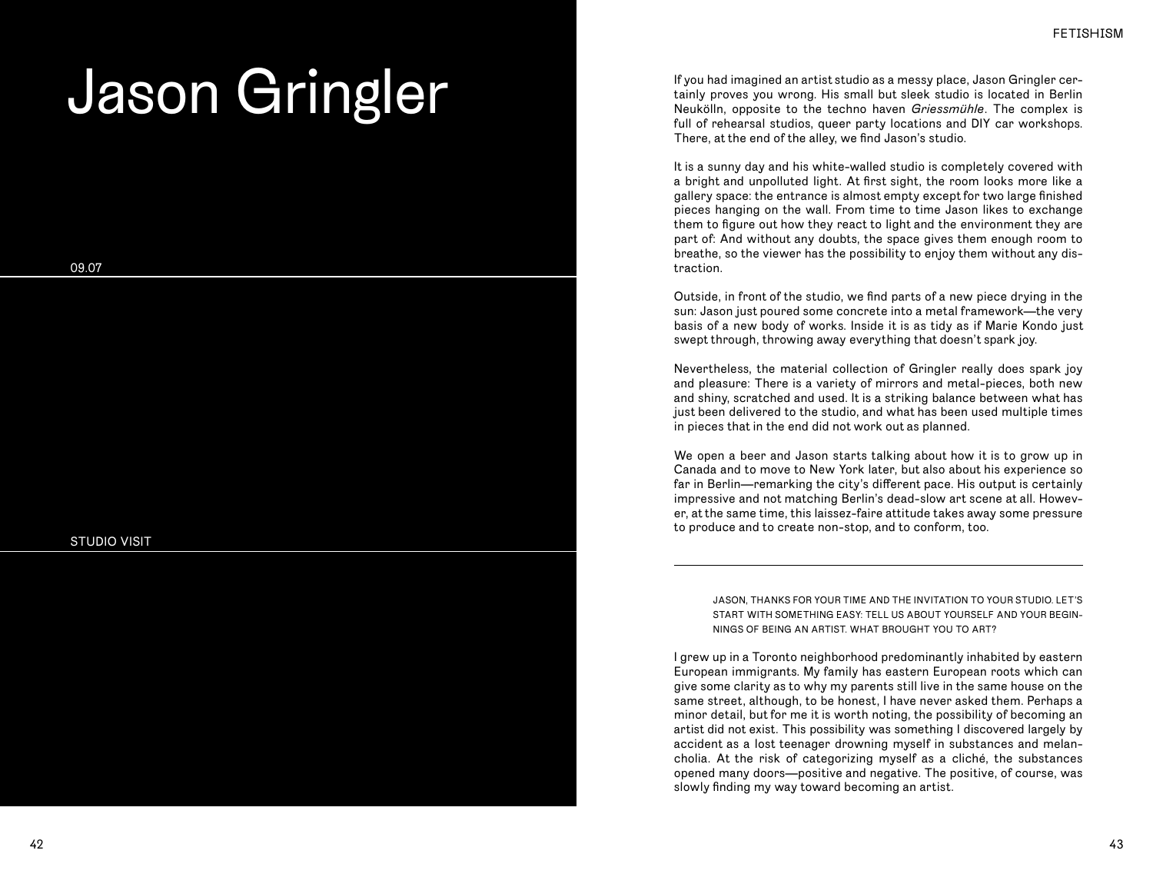## Jason Gringler

STUDIO VISIT

If you had imagined an artist studio as a messy place, Jason Gringler certainly proves you wrong. His small but sleek studio is located in Berlin Neukölln, opposite to the techno haven *Griessmühle*. The complex is full of rehearsal studios, queer party locations and DIY car workshops. There, at the end of the alley, we find Jason's studio.

It is a sunny day and his white-walled studio is completely covered with a bright and unpolluted light. At first sight, the room looks more like a gallery space: the entrance is almost empty except for two large finished pieces hanging on the wall. From time to time Jason likes to exchange them to figure out how they react to light and the environment they are part of: And without any doubts, the space gives them enough room to breathe, so the viewer has the possibility to enjoy them without any distraction.

Outside, in front of the studio, we find parts of a new piece drying in the sun: Jason just poured some concrete into a metal framework—the very basis of a new body of works. Inside it is as tidy as if Marie Kondo just swept through, throwing away everything that doesn't spark joy.

Nevertheless, the material collection of Gringler really does spark joy and pleasure: There is a variety of mirrors and metal-pieces, both new and shiny, scratched and used. It is a striking balance between what has just been delivered to the studio, and what has been used multiple times in pieces that in the end did not work out as planned.

We open a beer and Jason starts talking about how it is to grow up in Canada and to move to New York later, but also about his experience so far in Berlin—remarking the city's different pace. His output is certainly impressive and not matching Berlin's dead-slow art scene at all. However, at the same time, this laissez-faire attitude takes away some pressure to produce and to create non-stop, and to conform, too.

JASON, THANKS FOR YOUR TIME AND THE INVITATION TO YOUR STUDIO. LET'S START WITH SOMETHING EASY: TELL US ABOUT YOURSELF AND YOUR BEGIN-NINGS OF BEING AN ARTIST. WHAT BROUGHT YOU TO ART?

I grew up in a Toronto neighborhood predominantly inhabited by eastern European immigrants. My family has eastern European roots which can give some clarity as to why my parents still live in the same house on the same street, although, to be honest, I have never asked them. Perhaps a minor detail, but for me it is worth noting, the possibility of becoming an artist did not exist. This possibility was something I discovered largely by accident as a lost teenager drowning myself in substances and melancholia. At the risk of categorizing myself as a cliché, the substances opened many doors—positive and negative. The positive, of course, was slowly finding my way toward becoming an artist.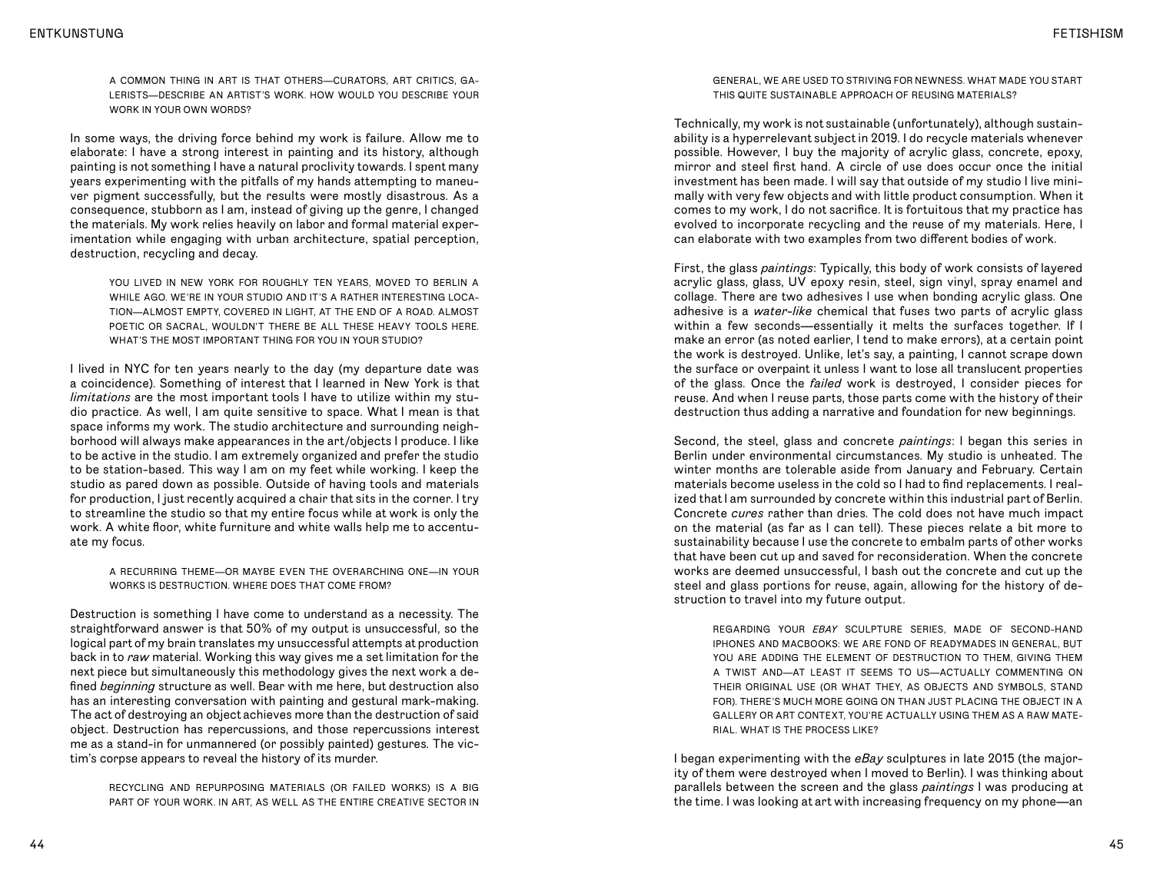A COMMON THING IN ART IS THAT OTHERS—CURATORS, ART CRITICS, GA-LERISTS—DESCRIBE AN ARTIST'S WORK. HOW WOULD YOU DESCRIBE YOUR WORK IN YOUR OWN WORDS?

In some ways, the driving force behind my work is failure. Allow me to elaborate: I have a strong interest in painting and its history, although painting is not something I have a natural proclivity towards. I spent many years experimenting with the pitfalls of my hands attempting to maneuver pigment successfully, but the results were mostly disastrous. As a consequence, stubborn as I am, instead of giving up the genre, I changed the materials. My work relies heavily on labor and formal material experimentation while engaging with urban architecture, spatial perception, destruction, recycling and decay.

YOU LIVED IN NEW YORK FOR ROUGHLY TEN YEARS, MOVED TO BERLIN A WHILE AGO. WE'RE IN YOUR STUDIO AND IT'S A RATHER INTERESTING LOCA-TION—ALMOST EMPTY, COVERED IN LIGHT, AT THE END OF A ROAD. ALMOST POETIC OR SACRAL, WOULDN'T THERE BE ALL THESE HEAVY TOOLS HERE. WHAT'S THE MOST IMPORTANT THING FOR YOU IN YOUR STUDIO?

I lived in NYC for ten years nearly to the day (my departure date was a coincidence). Something of interest that I learned in New York is that *limitations* are the most important tools I have to utilize within my studio practice. As well, I am quite sensitive to space. What I mean is that space informs my work. The studio architecture and surrounding neighborhood will always make appearances in the art/objects I produce. I like to be active in the studio. I am extremely organized and prefer the studio to be station-based. This way I am on my feet while working. I keep the studio as pared down as possible. Outside of having tools and materials for production, I just recently acquired a chair that sits in the corner. I try to streamline the studio so that my entire focus while at work is only the work. A white floor, white furniture and white walls help me to accentuate my focus.

A RECURRING THEME—OR MAYBE EVEN THE OVERARCHING ONE—IN YOUR WORKS IS DESTRUCTION. WHERE DOES THAT COME FROM?

Destruction is something I have come to understand as a necessity. The straightforward answer is that 50% of my output is unsuccessful, so the logical part of my brain translates my unsuccessful attempts at production back in to *raw* material. Working this way gives me a set limitation for the next piece but simultaneously this methodology gives the next work a defined *beginning* structure as well. Bear with me here, but destruction also has an interesting conversation with painting and gestural mark-making. The act of destroying an object achieves more than the destruction of said object. Destruction has repercussions, and those repercussions interest me as a stand-in for unmannered (or possibly painted) gestures. The victim's corpse appears to reveal the history of its murder.

RECYCLING AND REPURPOSING MATERIALS (OR FAILED WORKS) IS A BIG PART OF YOUR WORK. IN ART, AS WELL AS THE ENTIRE CREATIVE SECTOR IN

## GENERAL, WE ARE USED TO STRIVING FOR NEWNESS. WHAT MADE YOU START THIS QUITE SUSTAINABLE APPROACH OF REUSING MATERIALS?

Technically, my work is not sustainable (unfortunately), although sustainability is a hyperrelevant subject in 2019. I do recycle materials whenever possible. However, I buy the majority of acrylic glass, concrete, epoxy, mirror and steel first hand. A circle of use does occur once the initial investment has been made. I will say that outside of my studio I live minimally with very few objects and with little product consumption. When it comes to my work, I do not sacrifice. It is fortuitous that my practice has evolved to incorporate recycling and the reuse of my materials. Here, I can elaborate with two examples from two different bodies of work.

First, the glass *paintings*: Typically, this body of work consists of layered acrylic glass, glass, UV epoxy resin, steel, sign vinyl, spray enamel and collage. There are two adhesives I use when bonding acrylic glass. One adhesive is a *water-like* chemical that fuses two parts of acrylic glass within a few seconds—essentially it melts the surfaces together. If I make an error (as noted earlier, I tend to make errors), at a certain point the work is destroyed. Unlike, let's say, a painting, I cannot scrape down the surface or overpaint it unless I want to lose all translucent properties of the glass. Once the *failed* work is destroyed, I consider pieces for reuse. And when I reuse parts, those parts come with the history of their destruction thus adding a narrative and foundation for new beginnings.

Second, the steel, glass and concrete *paintings*: I began this series in Berlin under environmental circumstances. My studio is unheated. The winter months are tolerable aside from January and February. Certain materials become useless in the cold so I had to find replacements. I realized that I am surrounded by concrete within this industrial part of Berlin. Concrete *cures* rather than dries. The cold does not have much impact on the material (as far as I can tell). These pieces relate a bit more to sustainability because I use the concrete to embalm parts of other works that have been cut up and saved for reconsideration. When the concrete works are deemed unsuccessful, I bash out the concrete and cut up the steel and glass portions for reuse, again, allowing for the history of destruction to travel into my future output.

REGARDING YOUR *EBAY* SCULPTURE SERIES, MADE OF SECOND-HAND IPHONES AND MACBOOKS: WE ARE FOND OF READYMADES IN GENERAL, BUT YOU ARE ADDING THE ELEMENT OF DESTRUCTION TO THEM, GIVING THEM A TWIST AND—AT LEAST IT SEEMS TO US—ACTUALLY COMMENTING ON THEIR ORIGINAL USE (OR WHAT THEY, AS OBJECTS AND SYMBOLS, STAND FOR). THERE'S MUCH MORE GOING ON THAN JUST PLACING THE OBJECT IN A GALLERY OR ART CONTEXT, YOU'RE ACTUALLY USING THEM AS A RAW MATE-RIAL. WHAT IS THE PROCESS LIKE?

I began experimenting with the *eBay* sculptures in late 2015 (the majority of them were destroyed when I moved to Berlin). I was thinking about parallels between the screen and the glass *paintings* I was producing at the time. I was looking at art with increasing frequency on my phone—an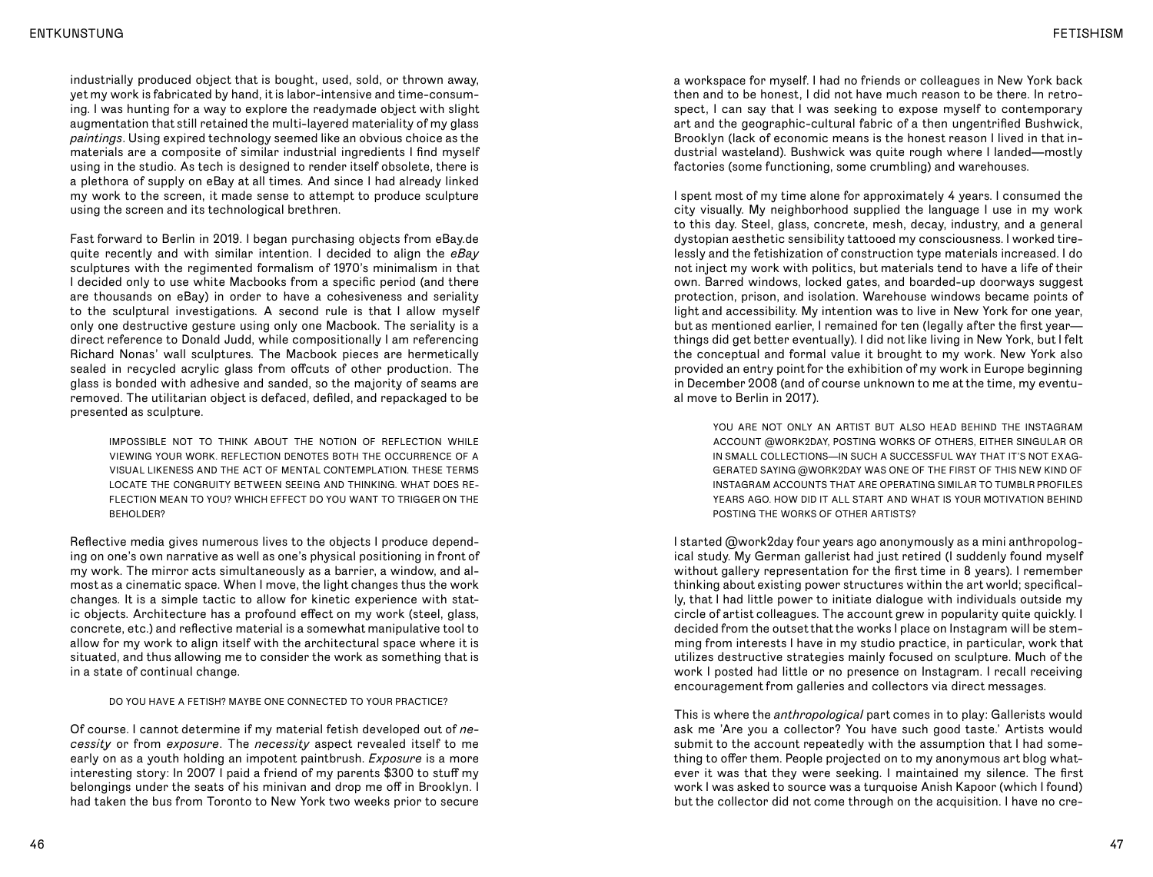industrially produced object that is bought, used, sold, or thrown away, yet my work is fabricated by hand, it is labor-intensive and time-consuming. I was hunting for a way to explore the readymade object with slight augmentation that still retained the multi-layered materiality of my glass *paintings*. Using expired technology seemed like an obvious choice as the materials are a composite of similar industrial ingredients I find myself using in the studio. As tech is designed to render itself obsolete, there is a plethora of supply on eBay at all times. And since I had already linked my work to the screen, it made sense to attempt to produce sculpture using the screen and its technological brethren.

Fast forward to Berlin in 2019. I began purchasing objects from eBay.de quite recently and with similar intention. I decided to align the *eBay* sculptures with the regimented formalism of 1970's minimalism in that I decided only to use white Macbooks from a specific period (and there are thousands on eBay) in order to have a cohesiveness and seriality to the sculptural investigations. A second rule is that I allow myself only one destructive gesture using only one Macbook. The seriality is a direct reference to Donald Judd, while compositionally I am referencing Richard Nonas' wall sculptures. The Macbook pieces are hermetically sealed in recycled acrylic glass from offcuts of other production. The glass is bonded with adhesive and sanded, so the majority of seams are removed. The utilitarian object is defaced, defiled, and repackaged to be presented as sculpture.

IMPOSSIBLE NOT TO THINK ABOUT THE NOTION OF REFLECTION WHILE VIEWING YOUR WORK. REFLECTION DENOTES BOTH THE OCCURRENCE OF A VISUAL LIKENESS AND THE ACT OF MENTAL CONTEMPLATION. THESE TERMS LOCATE THE CONGRUITY BETWEEN SEEING AND THINKING. WHAT DOES RE-FLECTION MEAN TO YOU? WHICH EFFECT DO YOU WANT TO TRIGGER ON THE BEHOLDER?

Reflective media gives numerous lives to the objects I produce depending on one's own narrative as well as one's physical positioning in front of my work. The mirror acts simultaneously as a barrier, a window, and almost as a cinematic space. When I move, the light changes thus the work changes. It is a simple tactic to allow for kinetic experience with static objects. Architecture has a profound effect on my work (steel, glass, concrete, etc.) and reflective material is a somewhat manipulative tool to allow for my work to align itself with the architectural space where it is situated, and thus allowing me to consider the work as something that is in a state of continual change.

## DO YOU HAVE A FETISH? MAYBE ONE CONNECTED TO YOUR PRACTICE?

Of course. I cannot determine if my material fetish developed out of *necessity* or from *exposure*. The *necessity* aspect revealed itself to me early on as a youth holding an impotent paintbrush. *Exposure* is a more interesting story: In 2007 I paid a friend of my parents \$300 to stuff my belongings under the seats of his minivan and drop me off in Brooklyn. I had taken the bus from Toronto to New York two weeks prior to secure a workspace for myself. I had no friends or colleagues in New York back then and to be honest, I did not have much reason to be there. In retrospect, I can say that I was seeking to expose myself to contemporary art and the geographic-cultural fabric of a then ungentrified Bushwick, Brooklyn (lack of economic means is the honest reason I lived in that industrial wasteland). Bushwick was quite rough where I landed—mostly factories (some functioning, some crumbling) and warehouses.

I spent most of my time alone for approximately 4 years. I consumed the city visually. My neighborhood supplied the language I use in my work to this day. Steel, glass, concrete, mesh, decay, industry, and a general dystopian aesthetic sensibility tattooed my consciousness. I worked tirelessly and the fetishization of construction type materials increased. I do not inject my work with politics, but materials tend to have a life of their own. Barred windows, locked gates, and boarded-up doorways suggest protection, prison, and isolation. Warehouse windows became points of light and accessibility. My intention was to live in New York for one year, but as mentioned earlier, I remained for ten (legally after the first year things did get better eventually). I did not like living in New York, but I felt the conceptual and formal value it brought to my work. New York also provided an entry point for the exhibition of my work in Europe beginning in December 2008 (and of course unknown to me at the time, my eventual move to Berlin in 2017).

YOU ARE NOT ONLY AN ARTIST BUT ALSO HEAD BEHIND THE INSTAGRAM ACCOUNT @WORK2DAY, POSTING WORKS OF OTHERS, EITHER SINGULAR OR IN SMALL COLLECTIONS—IN SUCH A SUCCESSFUL WAY THAT IT'S NOT EXAG-GERATED SAYING @WORK2DAY WAS ONE OF THE FIRST OF THIS NEW KIND OF INSTAGRAM ACCOUNTS THAT ARE OPERATING SIMILAR TO TUMBLR PROFILES YEARS AGO. HOW DID IT ALL START AND WHAT IS YOUR MOTIVATION BEHIND POSTING THE WORKS OF OTHER ARTISTS?

I started @work2day four years ago anonymously as a mini anthropological study. My German gallerist had just retired (I suddenly found myself without gallery representation for the first time in 8 years). I remember thinking about existing power structures within the art world; specifically, that I had little power to initiate dialogue with individuals outside my circle of artist colleagues. The account grew in popularity quite quickly. I decided from the outset that the works I place on Instagram will be stemming from interests I have in my studio practice, in particular, work that utilizes destructive strategies mainly focused on sculpture. Much of the work I posted had little or no presence on Instagram. I recall receiving encouragement from galleries and collectors via direct messages.

This is where the *anthropological* part comes in to play: Gallerists would ask me 'Are you a collector? You have such good taste.' Artists would submit to the account repeatedly with the assumption that I had something to offer them. People projected on to my anonymous art blog whatever it was that they were seeking. I maintained my silence. The first work I was asked to source was a turquoise Anish Kapoor (which I found) but the collector did not come through on the acquisition. I have no cre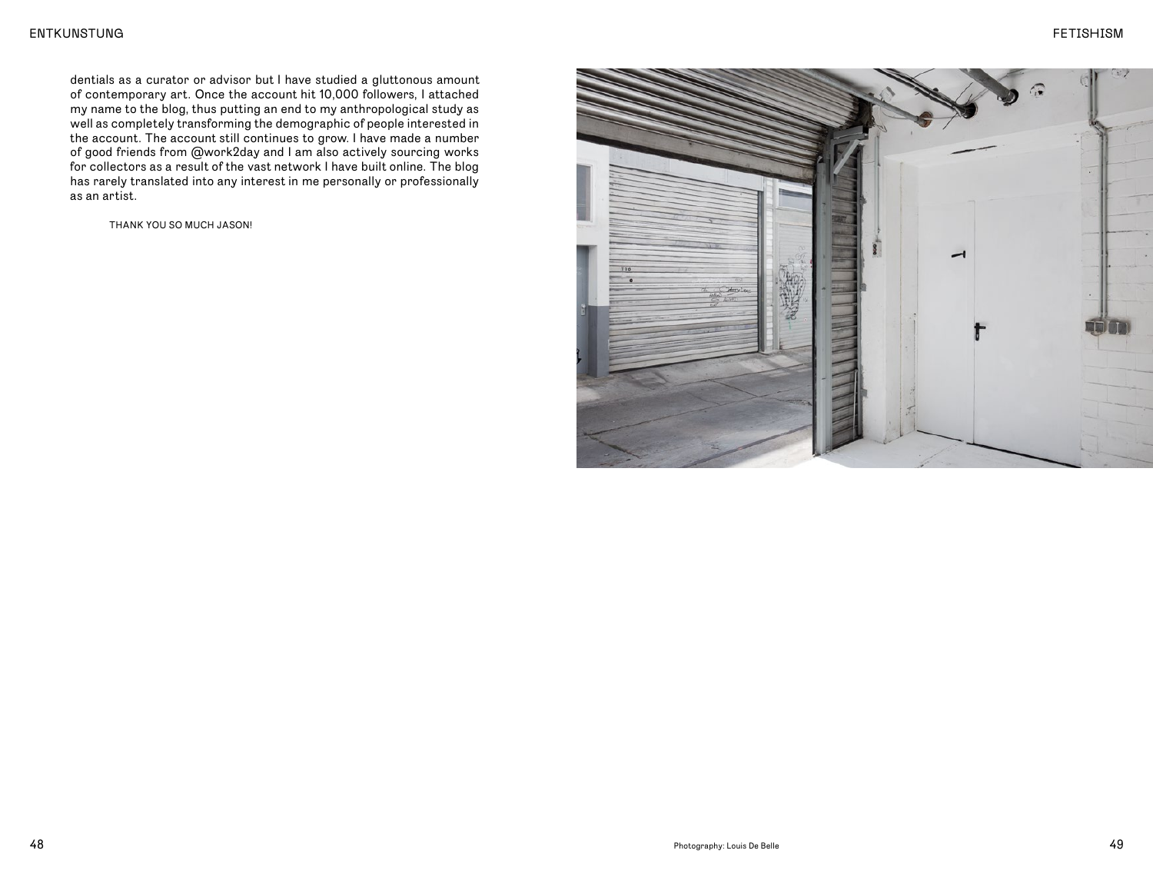dentials as a curator or advisor but I have studied a gluttonous amount of contemporary art. Once the account hit 10,000 followers, I attached my name to the blog, thus putting an end to my anthropological study as well as completely transforming the demographic of people interested in the account. The account still continues to grow. I have made a number of good friends from @work2day and I am also actively sourcing works for collectors as a result of the vast network I have built online. The blog has rarely translated into any interest in me personally or professionally as an artist.

THANK YOU SO MUCH JASON!

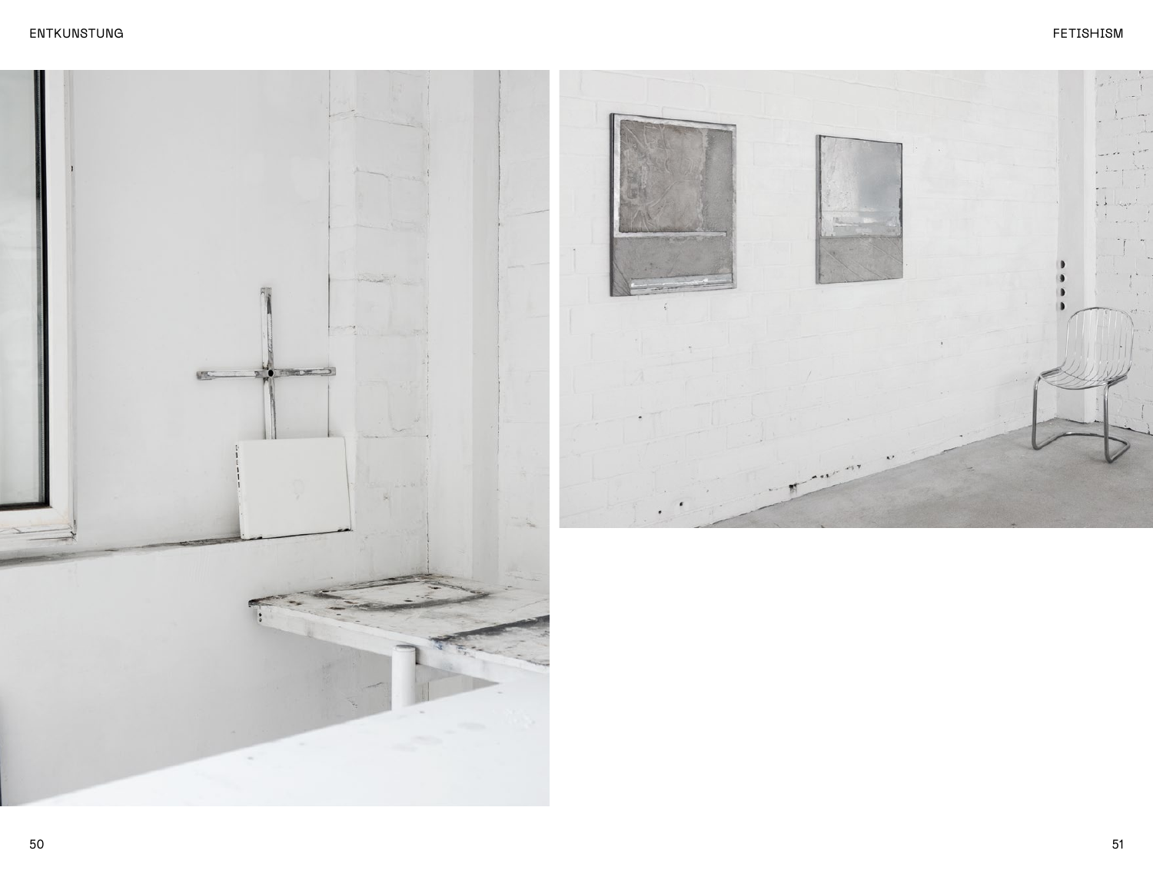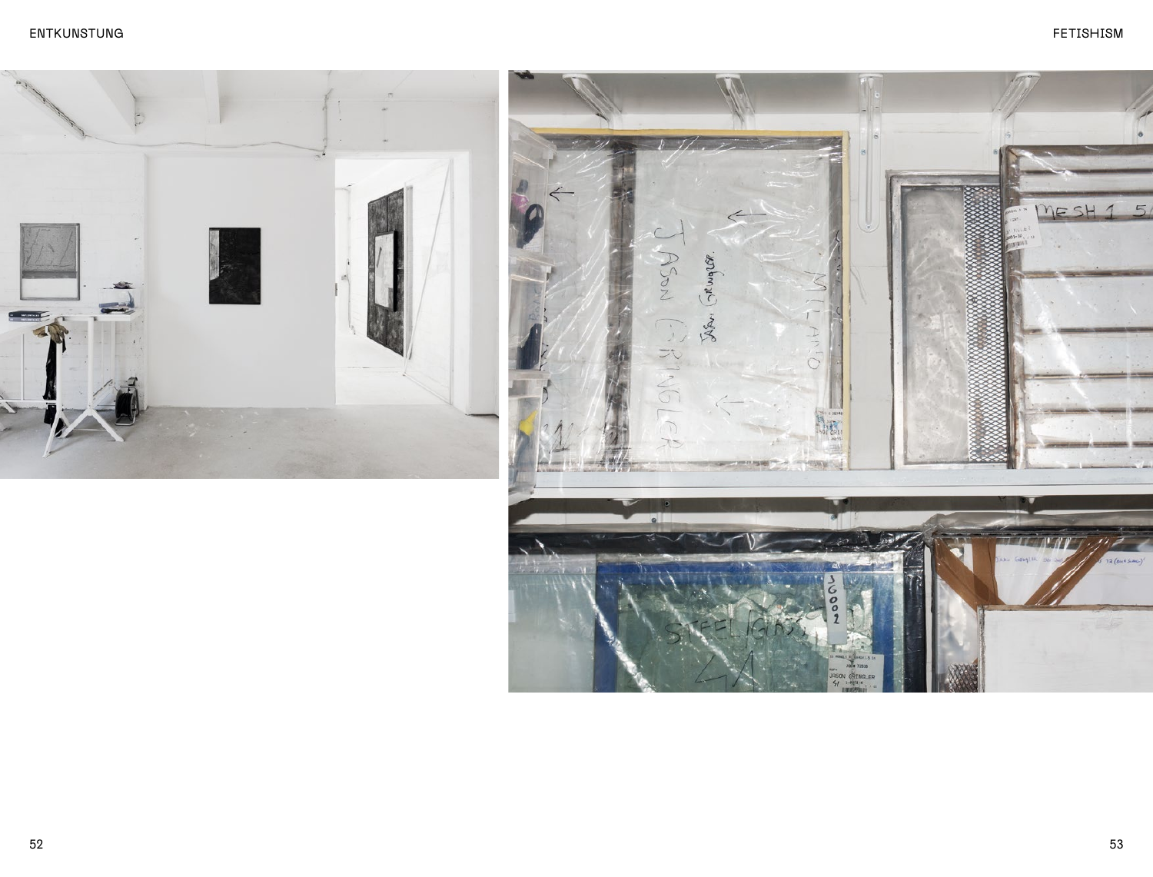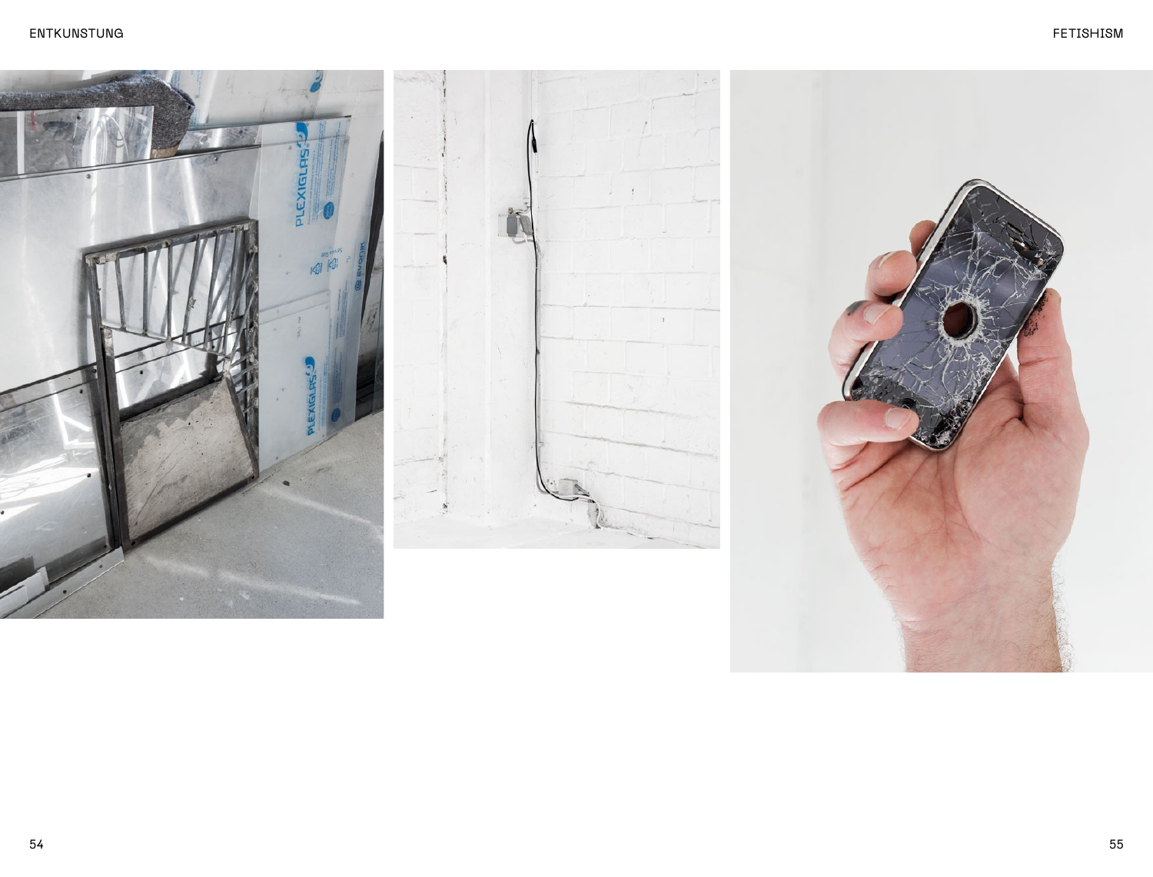